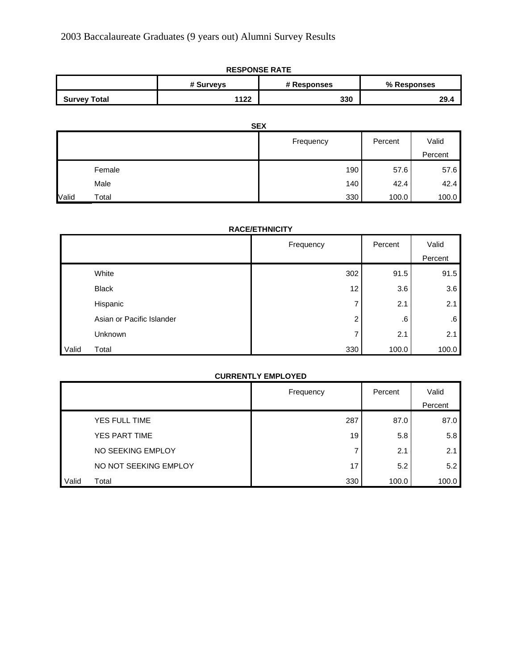| <b>RESPONSE RATE</b> |           |             |             |  |
|----------------------|-----------|-------------|-------------|--|
|                      | # Surveys | # Responses | % Responses |  |
| <b>Survey Total</b>  | 1122      | 330         | 29.4        |  |

|       | <b>SEX</b> |           |         |         |
|-------|------------|-----------|---------|---------|
|       |            | Frequency | Percent | Valid   |
|       |            |           |         | Percent |
|       | Female     | 190       | 57.6    | 57.6    |
|       | Male       | 140       | 42.4    | 42.4    |
| Valid | Total      | 330       | 100.0   | 100.0   |

# **RACE/ETHNICITY**

|       |                           | Frequency | Percent | Valid   |
|-------|---------------------------|-----------|---------|---------|
|       |                           |           |         | Percent |
|       | White                     | 302       | 91.5    | 91.5    |
|       | <b>Black</b>              | 12        | 3.6     | 3.6     |
|       | Hispanic                  |           | 2.1     | 2.1     |
|       | Asian or Pacific Islander | 2         | .6      | 6.6     |
|       | Unknown                   |           | 2.1     | 2.1     |
| Valid | Total                     | 330       | 100.0   | 100.0   |

|       | <b>CURRENTLY EMPLOYED</b> |           |         |         |
|-------|---------------------------|-----------|---------|---------|
|       |                           | Frequency | Percent | Valid   |
|       |                           |           |         | Percent |
|       | YES FULL TIME             | 287       | 87.0    | 87.0    |
|       | YES PART TIME             | 19        | 5.8     | 5.8     |
|       | NO SEEKING EMPLOY         | ⇁         | 2.1     | 2.1     |
|       | NO NOT SEEKING EMPLOY     | 17        | 5.2     | 5.2     |
| Valid | Total                     | 330       | 100.0   | 100.0   |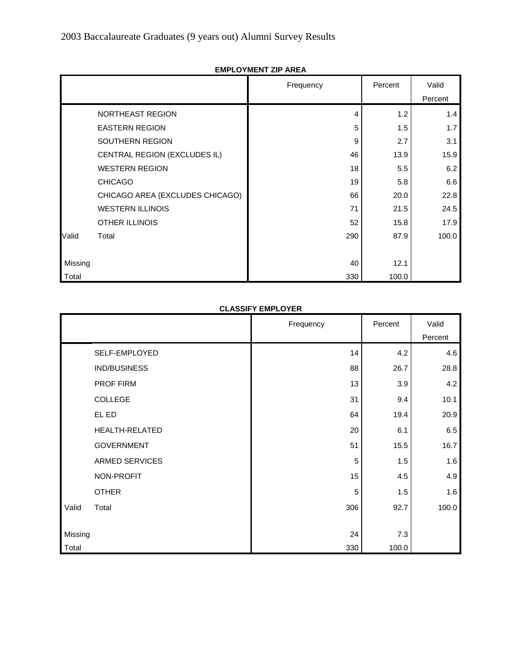|         |                                 | Frequency | Percent | Valid   |
|---------|---------------------------------|-----------|---------|---------|
|         |                                 |           |         | Percent |
|         | NORTHEAST REGION                | 4         | 1.2     | 1.4     |
|         | <b>EASTERN REGION</b>           | 5         | 1.5     | 1.7     |
|         | SOUTHERN REGION                 | 9         | 2.7     | 3.1     |
|         | CENTRAL REGION (EXCLUDES IL)    | 46        | 13.9    | 15.9    |
|         | <b>WESTERN REGION</b>           | 18        | 5.5     | 6.2     |
|         | <b>CHICAGO</b>                  | 19        | 5.8     | 6.6     |
|         | CHICAGO AREA (EXCLUDES CHICAGO) | 66        | 20.0    | 22.8    |
|         | <b>WESTERN ILLINOIS</b>         | 71        | 21.5    | 24.5    |
|         | <b>OTHER ILLINOIS</b>           | 52        | 15.8    | 17.9    |
| Valid   | Total                           | 290       | 87.9    | 100.0   |
|         |                                 |           |         |         |
| Missing |                                 | 40        | 12.1    |         |
| Total   |                                 | 330       | 100.0   |         |

# **EMPLOYMENT ZIP AREA**

#### **CLASSIFY EMPLOYER**

|         |                       | Frequency | Percent | Valid   |
|---------|-----------------------|-----------|---------|---------|
|         |                       |           |         | Percent |
|         | SELF-EMPLOYED         | 14        | 4.2     | 4.6     |
|         | IND/BUSINESS          | 88        | 26.7    | 28.8    |
|         | PROF FIRM             | 13        | 3.9     | 4.2     |
|         | <b>COLLEGE</b>        | 31        | 9.4     | 10.1    |
|         | EL ED                 | 64        | 19.4    | 20.9    |
|         | <b>HEALTH-RELATED</b> | 20        | 6.1     | 6.5     |
|         | <b>GOVERNMENT</b>     | 51        | 15.5    | 16.7    |
|         | <b>ARMED SERVICES</b> | 5         | 1.5     | 1.6     |
|         | NON-PROFIT            | 15        | 4.5     | 4.9     |
|         | <b>OTHER</b>          | 5         | 1.5     | 1.6     |
| Valid   | Total                 | 306       | 92.7    | 100.0   |
|         |                       |           |         |         |
| Missing |                       | 24        | 7.3     |         |
| Total   |                       | 330       | 100.0   |         |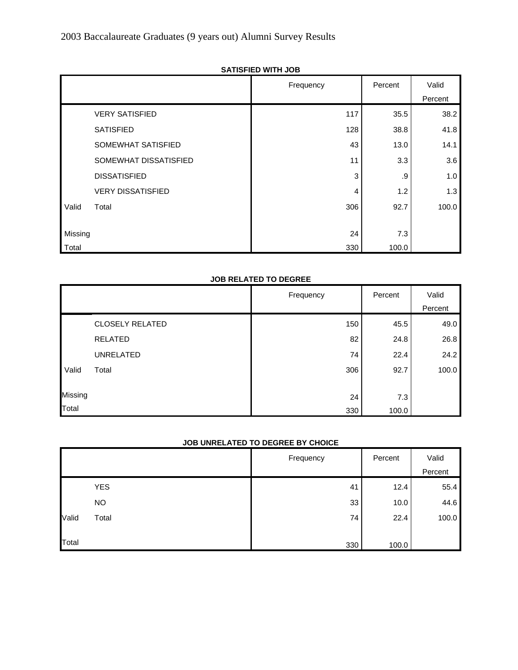|         | טטטוווווי עבו וטוואט     |           |         |         |
|---------|--------------------------|-----------|---------|---------|
|         |                          | Frequency | Percent | Valid   |
|         |                          |           |         | Percent |
|         | <b>VERY SATISFIED</b>    | 117       | 35.5    | 38.2    |
|         | <b>SATISFIED</b>         | 128       | 38.8    | 41.8    |
|         | SOMEWHAT SATISFIED       | 43        | 13.0    | 14.1    |
|         | SOMEWHAT DISSATISFIED    | 11        | 3.3     | 3.6     |
|         | <b>DISSATISFIED</b>      | 3         | .9      | 1.0     |
|         | <b>VERY DISSATISFIED</b> | 4         | 1.2     | 1.3     |
| Valid   | Total                    | 306       | 92.7    | 100.0   |
|         |                          |           |         |         |
| Missing |                          | 24        | 7.3     |         |
| Total   |                          | 330       | 100.0   |         |

# **SATISFIED WITH JOB**

# **JOB RELATED TO DEGREE**

|         |                        | Frequency | Percent | Valid   |
|---------|------------------------|-----------|---------|---------|
|         |                        |           |         | Percent |
|         | <b>CLOSELY RELATED</b> | 150       | 45.5    | 49.0    |
|         | <b>RELATED</b>         | 82        | 24.8    | 26.8    |
|         | <b>UNRELATED</b>       | 74        | 22.4    | 24.2    |
| Valid   | Total                  | 306       | 92.7    | 100.0   |
|         |                        |           |         |         |
| Missing |                        | 24        | 7.3     |         |
| Total   |                        | 330       | 100.0   |         |

# **JOB UNRELATED TO DEGREE BY CHOICE**

|       |            | Frequency | Percent | Valid   |
|-------|------------|-----------|---------|---------|
|       |            |           |         | Percent |
|       | <b>YES</b> | 41        | 12.4    | 55.4    |
|       | <b>NO</b>  | 33        | 10.0    | 44.6    |
| Valid | Total      | 74        | 22.4    | 100.0   |
|       |            |           |         |         |
| Total |            | 330       | 100.0   |         |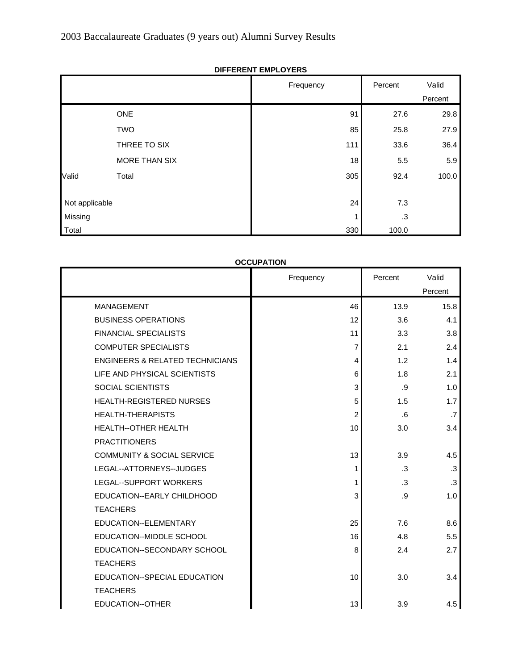|                |               | Frequency | Percent | Valid   |
|----------------|---------------|-----------|---------|---------|
|                |               |           |         | Percent |
|                | <b>ONE</b>    | 91        | 27.6    | 29.8    |
|                | <b>TWO</b>    | 85        | 25.8    | 27.9    |
|                | THREE TO SIX  | 111       | 33.6    | 36.4    |
|                | MORE THAN SIX | 18        | 5.5     | 5.9     |
| Valid          | Total         | 305       | 92.4    | 100.0   |
|                |               |           |         |         |
| Not applicable |               | 24        | 7.3     |         |
| Missing        |               |           | .3      |         |
| Total          |               | 330       | 100.0   |         |

**DIFFERENT EMPLOYERS**

# **OCCUPATION**

|                                            | Frequency | Percent | Valid     |
|--------------------------------------------|-----------|---------|-----------|
|                                            |           |         | Percent   |
| <b>MANAGEMENT</b>                          | 46        | 13.9    | 15.8      |
| <b>BUSINESS OPERATIONS</b>                 | 12        | 3.6     | 4.1       |
| <b>FINANCIAL SPECIALISTS</b>               | 11        | 3.3     | 3.8       |
| <b>COMPUTER SPECIALISTS</b>                | 7         | 2.1     | 2.4       |
| <b>ENGINEERS &amp; RELATED TECHNICIANS</b> | 4         | 1.2     | 1.4       |
| LIFE AND PHYSICAL SCIENTISTS               | 6         | 1.8     | 2.1       |
| SOCIAL SCIENTISTS                          | 3         | .9      | 1.0       |
| <b>HEALTH-REGISTERED NURSES</b>            | 5         | 1.5     | 1.7       |
| <b>HEALTH-THERAPISTS</b>                   | 2         | .6      | .7        |
| <b>HEALTH--OTHER HEALTH</b>                | 10        | 3.0     | 3.4       |
| <b>PRACTITIONERS</b>                       |           |         |           |
| <b>COMMUNITY &amp; SOCIAL SERVICE</b>      | 13        | 3.9     | 4.5       |
| LEGAL--ATTORNEYS--JUDGES                   | 1         | .3      | .3        |
| <b>LEGAL--SUPPORT WORKERS</b>              | 1         | .3      | $\cdot$ 3 |
| EDUCATION--EARLY CHILDHOOD                 | 3         | .9      | 1.0       |
| <b>TEACHERS</b>                            |           |         |           |
| EDUCATION--ELEMENTARY                      | 25        | 7.6     | 8.6       |
| EDUCATION--MIDDLE SCHOOL                   | 16        | 4.8     | 5.5       |
| EDUCATION--SECONDARY SCHOOL                | 8         | 2.4     | 2.7       |
| <b>TEACHERS</b>                            |           |         |           |
| EDUCATION--SPECIAL EDUCATION               | 10        | 3.0     | 3.4       |
| <b>TEACHERS</b>                            |           |         |           |
| EDUCATION--OTHER                           | 13        | 3.9     | 4.5       |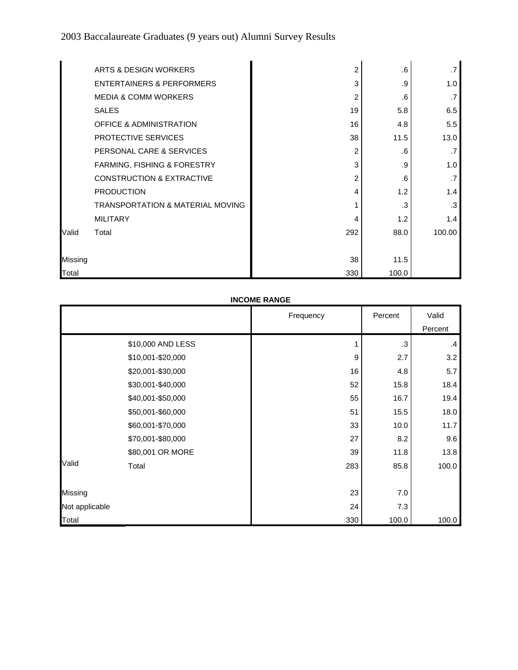|         | ARTS & DESIGN WORKERS                       | 2   | .6    | .7     |
|---------|---------------------------------------------|-----|-------|--------|
|         | ENTERTAINERS & PERFORMERS                   | 3   | .9    | 1.0    |
|         | <b>MEDIA &amp; COMM WORKERS</b>             | 2   | .6    | .7     |
|         | <b>SALES</b>                                | 19  | 5.8   | 6.5    |
|         | <b>OFFICE &amp; ADMINISTRATION</b>          | 16  | 4.8   | 5.5    |
|         | PROTECTIVE SERVICES                         | 38  | 11.5  | 13.0   |
|         | PERSONAL CARE & SERVICES                    | 2   | .6    | .7     |
|         | FARMING, FISHING & FORESTRY                 | 3   | .9    | 1.0    |
|         | <b>CONSTRUCTION &amp; EXTRACTIVE</b>        | 2   | .6    | .7     |
|         | <b>PRODUCTION</b>                           | 4   | 1.2   | 1.4    |
|         | <b>TRANSPORTATION &amp; MATERIAL MOVING</b> |     | .3    | .3     |
|         | <b>MILITARY</b>                             | 4   | 1.2   | 1.4    |
| Valid   | Total                                       | 292 | 88.0  | 100.00 |
|         |                                             |     |       |        |
| Missing |                                             | 38  | 11.5  |        |
| Total   |                                             | 330 | 100.0 |        |

# **INCOME RANGE**

|                |                   | Frequency | Percent | Valid   |
|----------------|-------------------|-----------|---------|---------|
|                |                   |           |         | Percent |
|                | \$10,000 AND LESS |           | .3      | $\cdot$ |
|                | \$10,001-\$20,000 | 9         | 2.7     | 3.2     |
|                | \$20,001-\$30,000 | 16        | 4.8     | 5.7     |
|                | \$30,001-\$40,000 | 52        | 15.8    | 18.4    |
|                | \$40,001-\$50,000 | 55        | 16.7    | 19.4    |
|                | \$50,001-\$60,000 | 51        | 15.5    | 18.0    |
|                | \$60,001-\$70,000 | 33        | 10.0    | 11.7    |
|                | \$70,001-\$80,000 | 27        | 8.2     | 9.6     |
|                | \$80,001 OR MORE  | 39        | 11.8    | 13.8    |
| Valid          | Total             | 283       | 85.8    | 100.0   |
|                |                   |           |         |         |
| Missing        |                   | 23        | $7.0\,$ |         |
| Not applicable |                   | 24        | 7.3     |         |
| Total          |                   | 330       | 100.0   | 100.0   |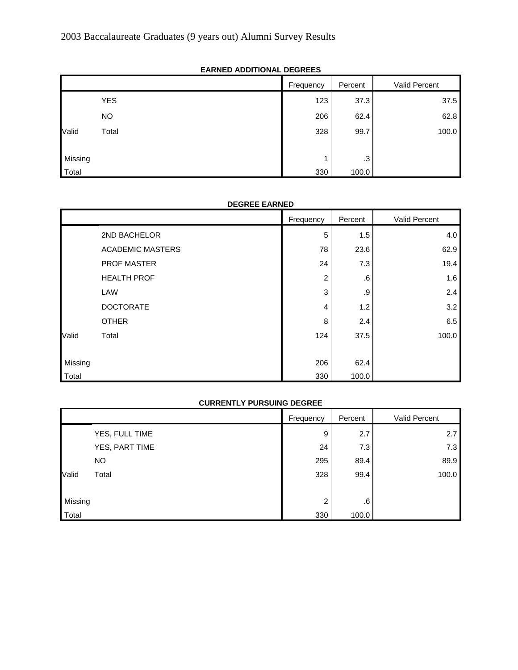# 2003 Baccalaureate Graduates (9 years out) Alumni Survey Results

|         | ------<br>.<br>------- |           |         |               |
|---------|------------------------|-----------|---------|---------------|
|         |                        | Frequency | Percent | Valid Percent |
|         | <b>YES</b>             | 123       | 37.3    | 37.5          |
|         | <b>NO</b>              | 206       | 62.4    | 62.8          |
| Valid   | Total                  | 328       | 99.7    | 100.0         |
|         |                        |           |         |               |
| Missing |                        |           | $.3\,$  |               |
| Total   |                        | 330       | 100.0   |               |

# **EARNED ADDITIONAL DEGREES**

#### **DEGREE EARNED**

|         |                         | Frequency | Percent | <b>Valid Percent</b> |
|---------|-------------------------|-----------|---------|----------------------|
|         | 2ND BACHELOR            | 5         | 1.5     | 4.0                  |
|         | <b>ACADEMIC MASTERS</b> | 78        | 23.6    | 62.9                 |
|         | <b>PROF MASTER</b>      | 24        | 7.3     | 19.4                 |
|         | <b>HEALTH PROF</b>      | 2         | .6      | 1.6                  |
|         | LAW                     | 3         | .9      | 2.4                  |
|         | <b>DOCTORATE</b>        | 4         | 1.2     | 3.2                  |
|         | <b>OTHER</b>            | 8         | 2.4     | 6.5                  |
| Valid   | Total                   | 124       | 37.5    | 100.0                |
|         |                         |           |         |                      |
| Missing |                         | 206       | 62.4    |                      |
| Total   |                         | 330       | 100.0   |                      |

# **CURRENTLY PURSUING DEGREE**

|         |                | Frequency | Percent | <b>Valid Percent</b> |
|---------|----------------|-----------|---------|----------------------|
|         | YES, FULL TIME | 9         | 2.7     | 2.7                  |
|         | YES, PART TIME | 24        | 7.3     | 7.3                  |
|         | <b>NO</b>      | 295       | 89.4    | 89.9                 |
| Valid   | Total          | 328       | 99.4    | 100.0                |
|         |                |           |         |                      |
| Missing |                | 2         | 6.6     |                      |
| Total   |                | 330       | 100.0   |                      |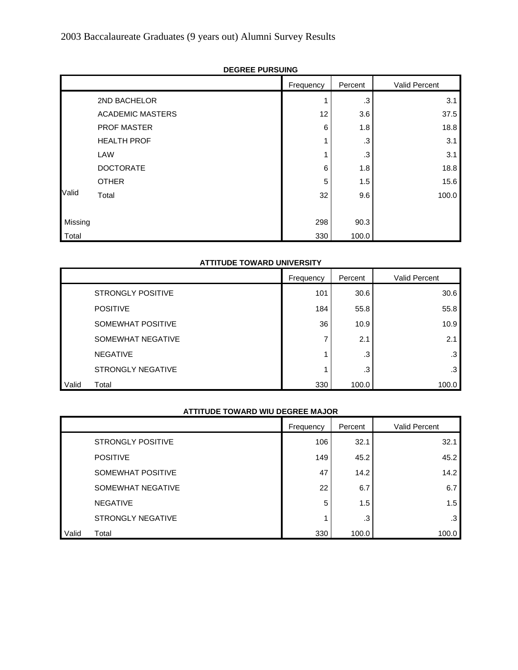|         | <b>DEUNEE FUNJUINU</b>  |           |         |               |
|---------|-------------------------|-----------|---------|---------------|
|         |                         | Frequency | Percent | Valid Percent |
|         | 2ND BACHELOR            |           | .3      | 3.1           |
|         | <b>ACADEMIC MASTERS</b> | 12        | 3.6     | 37.5          |
|         | PROF MASTER             | 6         | 1.8     | 18.8          |
|         | <b>HEALTH PROF</b>      | 1         | .3      | 3.1           |
|         | LAW                     | 4         | .3      | 3.1           |
|         | <b>DOCTORATE</b>        | 6         | 1.8     | 18.8          |
|         | <b>OTHER</b>            | 5         | 1.5     | 15.6          |
| Valid   | Total                   | 32        | 9.6     | 100.0         |
|         |                         |           |         |               |
| Missing |                         | 298       | 90.3    |               |
| Total   |                         | 330       | 100.0   |               |

# **DEGREE PURSUING**

#### **ATTITUDE TOWARD UNIVERSITY**

|       |                          | Frequency | Percent | Valid Percent |
|-------|--------------------------|-----------|---------|---------------|
|       | <b>STRONGLY POSITIVE</b> | 101       | 30.6    | 30.6          |
|       | <b>POSITIVE</b>          | 184       | 55.8    | 55.8          |
|       | SOMEWHAT POSITIVE        | 36        | 10.9    | 10.9          |
|       | SOMEWHAT NEGATIVE        |           | 2.1     | 2.1           |
|       | <b>NEGATIVE</b>          |           | .3      | .3            |
|       | STRONGLY NEGATIVE        |           | .3      | .3            |
| Valid | Total                    | 330       | 100.0   | 100.0         |

#### **ATTITUDE TOWARD WIU DEGREE MAJOR**

|       |                          | Frequency | Percent | <b>Valid Percent</b> |
|-------|--------------------------|-----------|---------|----------------------|
|       | <b>STRONGLY POSITIVE</b> | 106       | 32.1    | 32.1                 |
|       | <b>POSITIVE</b>          | 149       | 45.2    | 45.2                 |
|       | SOMEWHAT POSITIVE        | 47        | 14.2    | 14.2                 |
|       | SOMEWHAT NEGATIVE        | 22        | 6.7     | 6.7                  |
|       | <b>NEGATIVE</b>          | 5         | 1.5     | 1.5                  |
|       | <b>STRONGLY NEGATIVE</b> |           | .3      | .3                   |
| Valid | Total                    | 330       | 100.0   | 100.0                |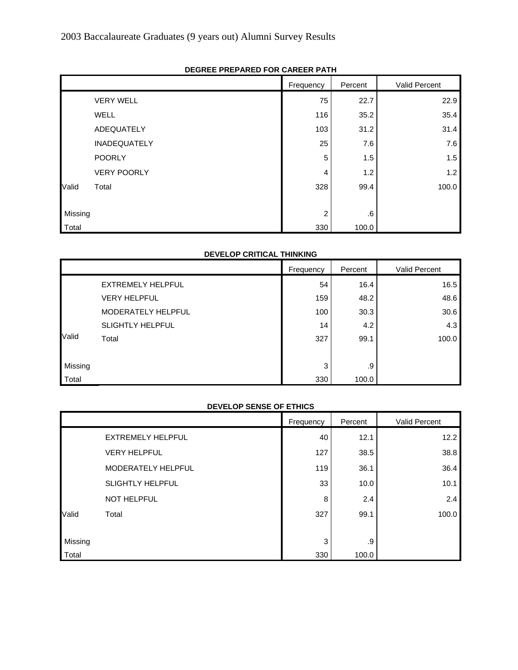|         |                     | Frequency | Percent | Valid Percent |
|---------|---------------------|-----------|---------|---------------|
|         | <b>VERY WELL</b>    | 75        | 22.7    | 22.9          |
|         | WELL                | 116       | 35.2    | 35.4          |
|         | ADEQUATELY          | 103       | 31.2    | 31.4          |
|         | <b>INADEQUATELY</b> | 25        | 7.6     | 7.6           |
|         | <b>POORLY</b>       | 5         | 1.5     | 1.5           |
|         | <b>VERY POORLY</b>  | 4         | 1.2     | 1.2           |
| Valid   | Total               | 328       | 99.4    | 100.0         |
|         |                     |           |         |               |
| Missing |                     | 2         | .6      |               |
| Total   |                     | 330       | 100.0   |               |

# **DEGREE PREPARED FOR CAREER PATH**

#### **DEVELOP CRITICAL THINKING**

|         |                         | Frequency | Percent | Valid Percent |
|---------|-------------------------|-----------|---------|---------------|
|         | EXTREMELY HELPFUL       | 54        | 16.4    | 16.5          |
|         | <b>VERY HELPFUL</b>     | 159       | 48.2    | 48.6          |
|         | MODERATELY HELPFUL      | 100       | 30.3    | 30.6          |
|         | <b>SLIGHTLY HELPFUL</b> | 14        | 4.2     | 4.3           |
| Valid   | Total                   | 327       | 99.1    | 100.0         |
|         |                         |           |         |               |
| Missing |                         | 3         | .9      |               |
| Total   |                         | 330       | 100.0   |               |

#### **DEVELOP SENSE OF ETHICS**

|         |                          | Frequency | Percent | Valid Percent |
|---------|--------------------------|-----------|---------|---------------|
|         | <b>EXTREMELY HELPFUL</b> | 40        | 12.1    | 12.2          |
|         | <b>VERY HELPFUL</b>      | 127       | 38.5    | 38.8          |
|         | MODERATELY HELPFUL       | 119       | 36.1    | 36.4          |
|         | <b>SLIGHTLY HELPFUL</b>  | 33        | 10.0    | 10.1          |
|         | <b>NOT HELPFUL</b>       | 8         | 2.4     | 2.4           |
| Valid   | Total                    | 327       | 99.1    | 100.0         |
|         |                          |           |         |               |
| Missing |                          | 3         | .9      |               |
| Total   |                          | 330       | 100.0   |               |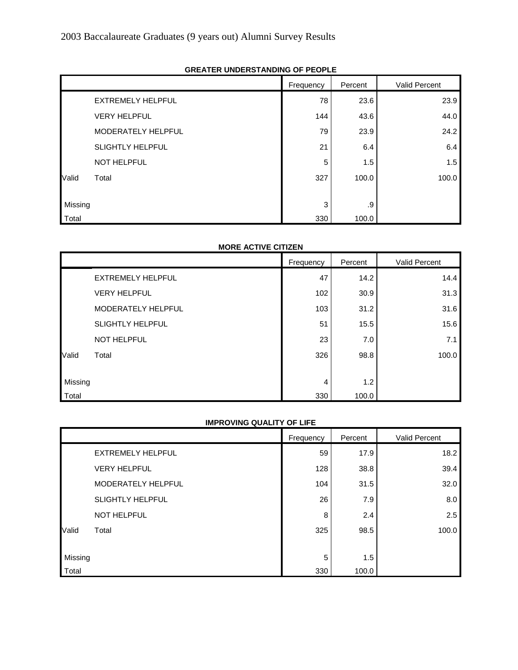|         |                          | Frequency | Percent | Valid Percent |
|---------|--------------------------|-----------|---------|---------------|
|         | <b>EXTREMELY HELPFUL</b> | 78        | 23.6    | 23.9          |
|         | <b>VERY HELPFUL</b>      | 144       | 43.6    | 44.0          |
|         | MODERATELY HELPFUL       | 79        | 23.9    | 24.2          |
|         | <b>SLIGHTLY HELPFUL</b>  | 21        | 6.4     | 6.4           |
|         | <b>NOT HELPFUL</b>       | 5         | 1.5     | 1.5           |
| Valid   | Total                    | 327       | 100.0   | 100.0         |
|         |                          |           |         |               |
| Missing |                          | 3         | .9      |               |
| Total   |                          | 330       | 100.0   |               |

#### **GREATER UNDERSTANDING OF PEOPLE**

#### **MORE ACTIVE CITIZEN**

|         |                          | Frequency | Percent | Valid Percent |
|---------|--------------------------|-----------|---------|---------------|
|         | <b>EXTREMELY HELPFUL</b> | 47        | 14.2    | 14.4          |
|         | <b>VERY HELPFUL</b>      | 102       | 30.9    | 31.3          |
|         | MODERATELY HELPFUL       | 103       | 31.2    | 31.6          |
|         | <b>SLIGHTLY HELPFUL</b>  | 51        | 15.5    | 15.6          |
|         | <b>NOT HELPFUL</b>       | 23        | 7.0     | 7.1           |
| Valid   | Total                    | 326       | 98.8    | 100.0         |
|         |                          |           |         |               |
| Missing |                          | 4         | 1.2     |               |
| Total   |                          | 330       | 100.0   |               |

#### **IMPROVING QUALITY OF LIFE**

|         |                          | Frequency | Percent | Valid Percent |
|---------|--------------------------|-----------|---------|---------------|
|         | <b>EXTREMELY HELPFUL</b> | 59        | 17.9    | 18.2          |
|         | <b>VERY HELPFUL</b>      | 128       | 38.8    | 39.4          |
|         | MODERATELY HELPFUL       | 104       | 31.5    | 32.0          |
|         | <b>SLIGHTLY HELPFUL</b>  | 26        | 7.9     | 8.0           |
|         | <b>NOT HELPFUL</b>       | 8         | 2.4     | 2.5           |
| Valid   | Total                    | 325       | 98.5    | 100.0         |
|         |                          |           |         |               |
| Missing |                          | 5         | 1.5     |               |
| Total   |                          | 330       | 100.0   |               |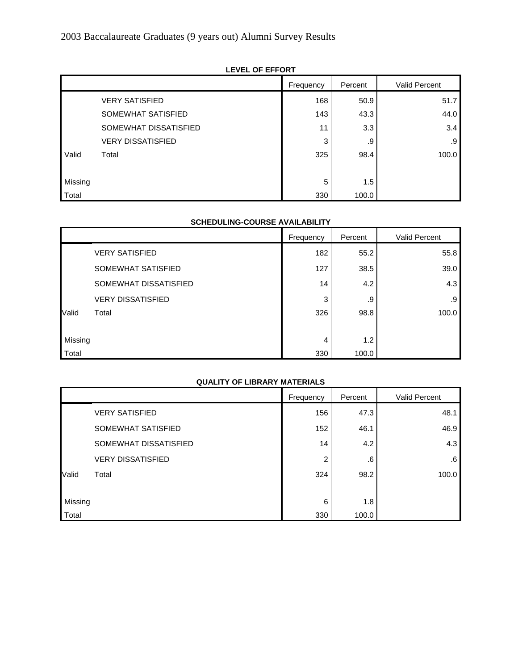|         |                          | Frequency | Percent | Valid Percent |
|---------|--------------------------|-----------|---------|---------------|
|         | <b>VERY SATISFIED</b>    | 168       | 50.9    | 51.7          |
|         | SOMEWHAT SATISFIED       | 143       | 43.3    | 44.0          |
|         | SOMEWHAT DISSATISFIED    | 11        | 3.3     | 3.4           |
|         | <b>VERY DISSATISFIED</b> | 3         | .9      | .9            |
| Valid   | Total                    | 325       | 98.4    | 100.0         |
|         |                          |           |         |               |
| Missing |                          | 5         | 1.5     |               |
| Total   |                          | 330       | 100.0   |               |

# **LEVEL OF EFFORT**

#### **SCHEDULING-COURSE AVAILABILITY**

|         |                          | Frequency | Percent | Valid Percent |
|---------|--------------------------|-----------|---------|---------------|
|         | <b>VERY SATISFIED</b>    | 182       | 55.2    | 55.8          |
|         | SOMEWHAT SATISFIED       | 127       | 38.5    | 39.0          |
|         | SOMEWHAT DISSATISFIED    | 14        | 4.2     | 4.3           |
|         | <b>VERY DISSATISFIED</b> | 3         | .9      | .9            |
| Valid   | Total                    | 326       | 98.8    | 100.0         |
|         |                          |           |         |               |
| Missing |                          | 4         | 1.2     |               |
| Total   |                          | 330       | 100.0   |               |

# **QUALITY OF LIBRARY MATERIALS**

|         |                          | Frequency | Percent | Valid Percent |
|---------|--------------------------|-----------|---------|---------------|
|         | <b>VERY SATISFIED</b>    | 156       | 47.3    | 48.1          |
|         | SOMEWHAT SATISFIED       | 152       | 46.1    | 46.9          |
|         | SOMEWHAT DISSATISFIED    | 14        | 4.2     | 4.3           |
|         | <b>VERY DISSATISFIED</b> | 2         | .6      | .6            |
| Valid   | Total                    | 324       | 98.2    | 100.0         |
|         |                          |           |         |               |
| Missing |                          | 6         | 1.8     |               |
| Total   |                          | 330       | 100.0   |               |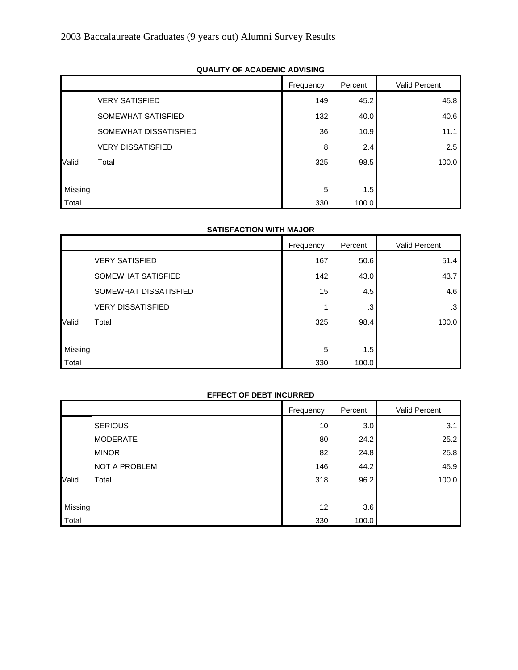|         |                          | Frequency | Percent | Valid Percent |  |
|---------|--------------------------|-----------|---------|---------------|--|
|         | <b>VERY SATISFIED</b>    | 149       | 45.2    | 45.8          |  |
|         | SOMEWHAT SATISFIED       | 132       | 40.0    | 40.6          |  |
|         | SOMEWHAT DISSATISFIED    | 36        | 10.9    | 11.1          |  |
|         | <b>VERY DISSATISFIED</b> | 8         | 2.4     | 2.5           |  |
| Valid   | Total                    | 325       | 98.5    | 100.0         |  |
|         |                          |           |         |               |  |
| Missing |                          | 5         | 1.5     |               |  |
| Total   |                          | 330       | 100.0   |               |  |

# **QUALITY OF ACADEMIC ADVISING**

# **SATISFACTION WITH MAJOR**

|         |                          | Frequency | Percent | Valid Percent |
|---------|--------------------------|-----------|---------|---------------|
|         | <b>VERY SATISFIED</b>    | 167       | 50.6    | 51.4          |
|         | SOMEWHAT SATISFIED       | 142       | 43.0    | 43.7          |
|         | SOMEWHAT DISSATISFIED    | 15        | 4.5     | 4.6           |
|         | <b>VERY DISSATISFIED</b> |           | .3      | .3            |
| Valid   | Total                    | 325       | 98.4    | 100.0         |
|         |                          |           |         |               |
| Missing |                          | 5         | 1.5     |               |
| Total   |                          | 330       | 100.0   |               |

#### **EFFECT OF DEBT INCURRED**

|         |                 | Frequency | Percent | Valid Percent |
|---------|-----------------|-----------|---------|---------------|
|         | <b>SERIOUS</b>  | 10        | 3.0     | 3.1           |
|         | <b>MODERATE</b> | 80        | 24.2    | 25.2          |
|         | <b>MINOR</b>    | 82        | 24.8    | 25.8          |
|         | NOT A PROBLEM   | 146       | 44.2    | 45.9          |
| Valid   | Total           | 318       | 96.2    | 100.0         |
|         |                 |           |         |               |
| Missing |                 | 12        | 3.6     |               |
| Total   |                 | 330       | 100.0   |               |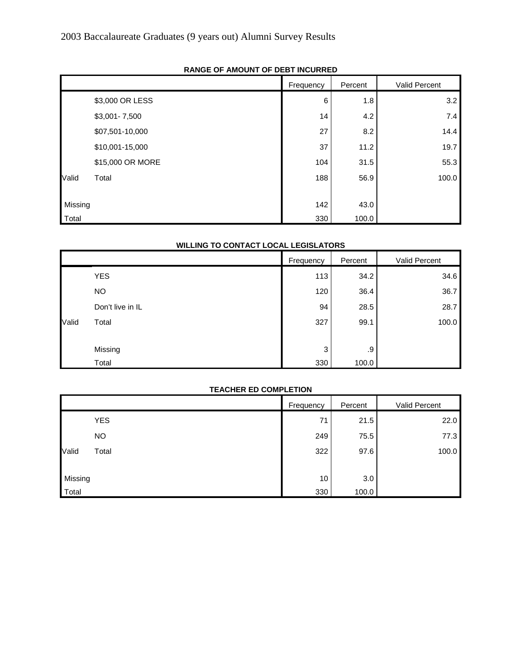|         |                  | Frequency | Percent | Valid Percent |
|---------|------------------|-----------|---------|---------------|
|         | \$3,000 OR LESS  | 6         | 1.8     | 3.2           |
|         | $$3,001 - 7,500$ | 14        | 4.2     | 7.4           |
|         | \$07,501-10,000  | 27        | 8.2     | 14.4          |
|         | \$10,001-15,000  | 37        | 11.2    | 19.7          |
|         | \$15,000 OR MORE | 104       | 31.5    | 55.3          |
| Valid   | Total            | 188       | 56.9    | 100.0         |
|         |                  |           |         |               |
| Missing |                  | 142       | 43.0    |               |
| Total   |                  | 330       | 100.0   |               |

# **RANGE OF AMOUNT OF DEBT INCURRED**

# **WILLING TO CONTACT LOCAL LEGISLATORS**

|       |                  | Frequency | Percent | Valid Percent |
|-------|------------------|-----------|---------|---------------|
|       | <b>YES</b>       | 113       | 34.2    | 34.6          |
|       | <b>NO</b>        | 120       | 36.4    | 36.7          |
| Valid | Don't live in IL | 94        | 28.5    | 28.7          |
|       | Total            | 327       | 99.1    | 100.0         |
|       |                  |           |         |               |
|       | Missing          | 3         | .9      |               |
|       | Total            | 330       | 100.0   |               |

#### **TEACHER ED COMPLETION**

|         |            | Frequency | Percent | Valid Percent |
|---------|------------|-----------|---------|---------------|
|         | <b>YES</b> | 71        | 21.5    | 22.0          |
|         | <b>NO</b>  | 249       | 75.5    | 77.3          |
| Valid   | Total      | 322       | 97.6    | 100.0         |
|         |            |           |         |               |
| Missing |            | 10        | 3.0     |               |
| Total   |            | 330       | 100.0   |               |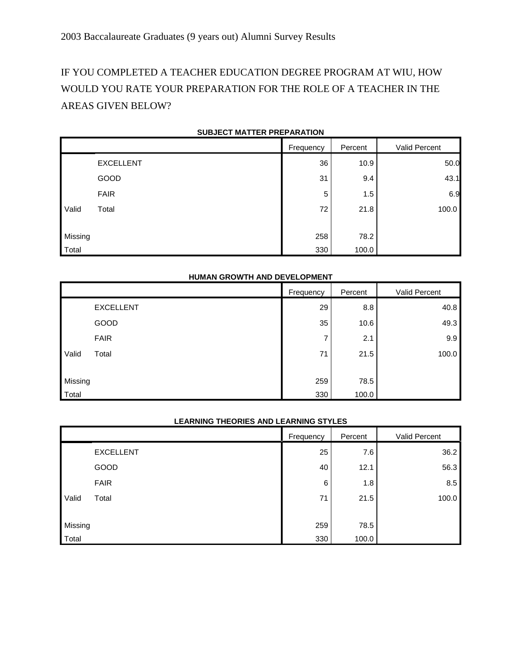# IF YOU COMPLETED A TEACHER EDUCATION DEGREE PROGRAM AT WIU, HOW WOULD YOU RATE YOUR PREPARATION FOR THE ROLE OF A TEACHER IN THE AREAS GIVEN BELOW?

|         |                  | Frequency | Percent | Valid Percent |
|---------|------------------|-----------|---------|---------------|
|         | <b>EXCELLENT</b> | 36        | 10.9    | 50.0          |
|         | GOOD             | 31        | 9.4     | 43.1          |
|         | <b>FAIR</b>      | 5         | 1.5     | 6.9           |
| Valid   | Total            | 72        | 21.8    | 100.0         |
|         |                  |           |         |               |
| Missing |                  | 258       | 78.2    |               |
| Total   |                  | 330       | 100.0   |               |

#### **SUBJECT MATTER PREPARATION**

#### **HUMAN GROWTH AND DEVELOPMENT**

|         |                  | Frequency | Percent | Valid Percent |
|---------|------------------|-----------|---------|---------------|
|         | <b>EXCELLENT</b> | 29        | 8.8     | 40.8          |
|         | GOOD             | 35        | 10.6    | 49.3          |
|         | <b>FAIR</b>      | ⇁         | 2.1     | 9.9           |
| Valid   | Total            | 71        | 21.5    | 100.0         |
|         |                  |           |         |               |
| Missing |                  | 259       | 78.5    |               |
| Total   |                  | 330       | 100.0   |               |

#### **LEARNING THEORIES AND LEARNING STYLES**

|         |                  | Frequency | Percent | Valid Percent |
|---------|------------------|-----------|---------|---------------|
|         | <b>EXCELLENT</b> | 25        | 7.6     | 36.2          |
|         | GOOD             | 40        | 12.1    | 56.3          |
|         | <b>FAIR</b>      | 6         | 1.8     | 8.5           |
| Valid   | Total            | 71        | 21.5    | 100.0         |
|         |                  |           |         |               |
| Missing |                  | 259       | 78.5    |               |
| Total   |                  | 330       | 100.0   |               |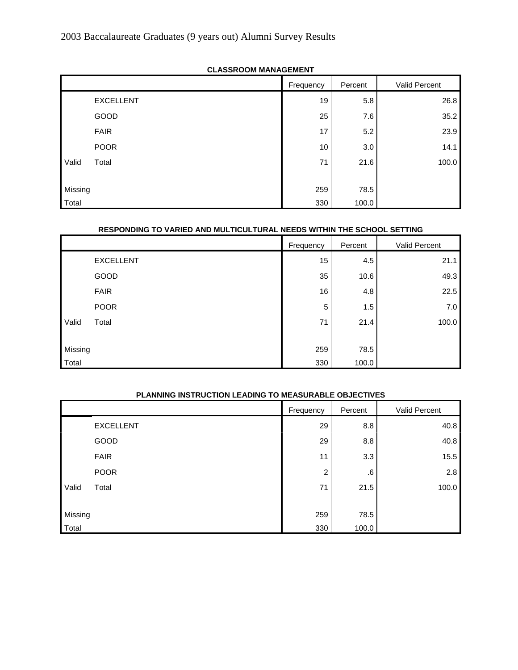|         | <b>ULAUUINUUIN INAITAULINLITTI</b> |           |         |               |
|---------|------------------------------------|-----------|---------|---------------|
|         |                                    | Frequency | Percent | Valid Percent |
|         | <b>EXCELLENT</b>                   | 19        | 5.8     | 26.8          |
|         | GOOD                               | 25        | 7.6     | 35.2          |
|         | <b>FAIR</b>                        | 17        | 5.2     | 23.9          |
|         | <b>POOR</b>                        | 10        | 3.0     | 14.1          |
| Valid   | Total                              | 71        | 21.6    | 100.0         |
|         |                                    |           |         |               |
| Missing |                                    | 259       | 78.5    |               |
| Total   |                                    | 330       | 100.0   |               |

# **CLASSROOM MANAGEMENT**

#### **RESPONDING TO VARIED AND MULTICULTURAL NEEDS WITHIN THE SCHOOL SETTING**

|         |                  | Frequency | Percent | Valid Percent |
|---------|------------------|-----------|---------|---------------|
|         | <b>EXCELLENT</b> | 15        | 4.5     | 21.1          |
|         | GOOD             | 35        | 10.6    | 49.3          |
|         | <b>FAIR</b>      | 16        | 4.8     | 22.5          |
|         | <b>POOR</b>      | 5         | 1.5     | $7.0\,$       |
| Valid   | Total            | 71        | 21.4    | 100.0         |
|         |                  |           |         |               |
| Missing |                  | 259       | 78.5    |               |
| Total   |                  | 330       | 100.0   |               |

#### **PLANNING INSTRUCTION LEADING TO MEASURABLE OBJECTIVES**

|         |                  | Frequency | Percent | Valid Percent |
|---------|------------------|-----------|---------|---------------|
|         | <b>EXCELLENT</b> | 29        | 8.8     | 40.8          |
|         | GOOD             | 29        | 8.8     | 40.8          |
|         | <b>FAIR</b>      | 11        | 3.3     | 15.5          |
|         | <b>POOR</b>      | 2         | .6      | 2.8           |
| Valid   | Total            | 71        | 21.5    | 100.0         |
|         |                  |           |         |               |
| Missing |                  | 259       | 78.5    |               |
| Total   |                  | 330       | 100.0   |               |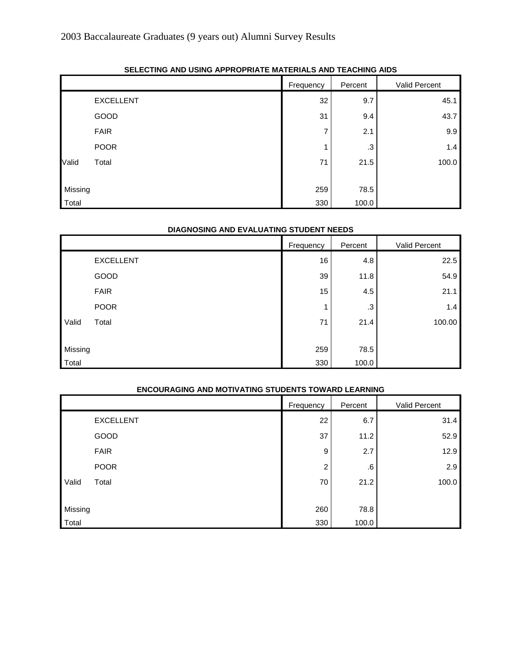|         | -                |           |         |               |
|---------|------------------|-----------|---------|---------------|
|         |                  | Frequency | Percent | Valid Percent |
|         | <b>EXCELLENT</b> | 32        | 9.7     | 45.1          |
|         | GOOD             | 31        | 9.4     | 43.7          |
|         | <b>FAIR</b>      | ⇁         | 2.1     | 9.9           |
|         | <b>POOR</b>      |           | .3      | 1.4           |
| Valid   | Total            | 71        | 21.5    | 100.0         |
|         |                  |           |         |               |
| Missing |                  | 259       | 78.5    |               |
| Total   |                  | 330       | 100.0   |               |

# **SELECTING AND USING APPROPRIATE MATERIALS AND TEACHING AIDS**

#### **DIAGNOSING AND EVALUATING STUDENT NEEDS**

|         |                  | Frequency | Percent | Valid Percent |
|---------|------------------|-----------|---------|---------------|
|         | <b>EXCELLENT</b> | 16        | 4.8     | 22.5          |
|         | GOOD             | 39        | 11.8    | 54.9          |
|         | <b>FAIR</b>      | 15        | 4.5     | 21.1          |
|         | <b>POOR</b>      |           | .3      | 1.4           |
| Valid   | Total            | 71        | 21.4    | 100.00        |
|         |                  |           |         |               |
| Missing |                  | 259       | 78.5    |               |
| Total   |                  | 330       | 100.0   |               |

# **ENCOURAGING AND MOTIVATING STUDENTS TOWARD LEARNING**

|         |                  | Frequency | Percent | Valid Percent |
|---------|------------------|-----------|---------|---------------|
|         | <b>EXCELLENT</b> | 22        | 6.7     | 31.4          |
|         | GOOD             | 37        | 11.2    | 52.9          |
|         | <b>FAIR</b>      | 9         | 2.7     | 12.9          |
|         | <b>POOR</b>      | 2         | .6      | 2.9           |
| Valid   | Total            | 70        | 21.2    | 100.0         |
|         |                  |           |         |               |
| Missing |                  | 260       | 78.8    |               |
| Total   |                  | 330       | 100.0   |               |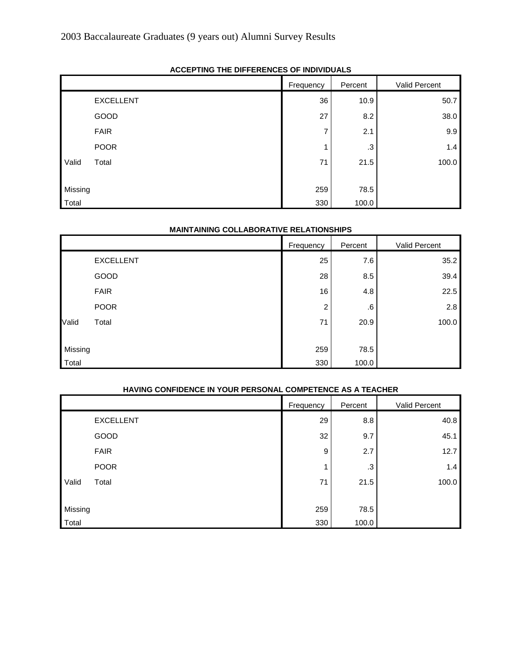|         | AUULI IIIIU IIIL DII I LIILIULU UI IIIDITIDUALU |           |         |               |
|---------|-------------------------------------------------|-----------|---------|---------------|
|         |                                                 | Frequency | Percent | Valid Percent |
|         | <b>EXCELLENT</b>                                | 36        | 10.9    | 50.7          |
|         | GOOD                                            | 27        | 8.2     | 38.0          |
|         | <b>FAIR</b>                                     | ⇁         | 2.1     | 9.9           |
|         | <b>POOR</b>                                     |           | .3      | 1.4           |
| Valid   | Total                                           | 71        | 21.5    | 100.0         |
|         |                                                 |           |         |               |
| Missing |                                                 | 259       | 78.5    |               |
| Total   |                                                 | 330       | 100.0   |               |

# **ACCEPTING THE DIFFERENCES OF INDIVIDUALS**

#### **MAINTAINING COLLABORATIVE RELATIONSHIPS**

|         |                  | Frequency      | Percent | Valid Percent |
|---------|------------------|----------------|---------|---------------|
|         | <b>EXCELLENT</b> | 25             | 7.6     | 35.2          |
|         | GOOD             | 28             | 8.5     | 39.4          |
|         | <b>FAIR</b>      | 16             | 4.8     | 22.5          |
|         | <b>POOR</b>      | $\overline{c}$ | .6      | 2.8           |
| Valid   | Total            | 71             | 20.9    | 100.0         |
|         |                  |                |         |               |
| Missing |                  | 259            | 78.5    |               |
| Total   |                  | 330            | 100.0   |               |

# **HAVING CONFIDENCE IN YOUR PERSONAL COMPETENCE AS A TEACHER**

|         |                  | Frequency | Percent | Valid Percent |
|---------|------------------|-----------|---------|---------------|
|         | <b>EXCELLENT</b> | 29        | 8.8     | 40.8          |
|         | GOOD             | 32        | 9.7     | 45.1          |
|         | <b>FAIR</b>      | 9         | 2.7     | 12.7          |
|         | <b>POOR</b>      | и         | .3      | 1.4           |
| Valid   | Total            | 71        | 21.5    | 100.0         |
|         |                  |           |         |               |
| Missing |                  | 259       | 78.5    |               |
| Total   |                  | 330       | 100.0   |               |